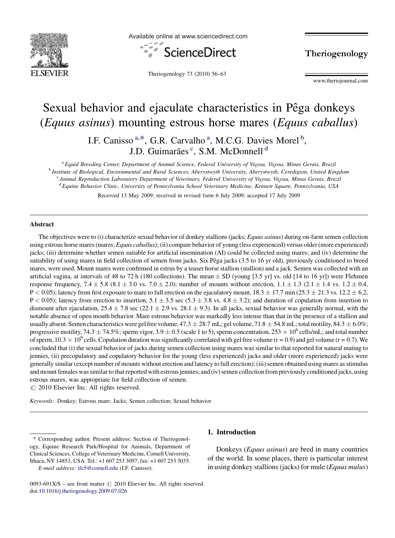

Available online at www.sciencedirect.com



Theriogenology

Theriogenology 73 (2010) 56–63

www.theriojournal.com

# Sexual behavior and ejaculate characteristics in Pêga donkeys (Equus asinus) mounting estrous horse mares (Equus caballus)

I.F. Canisso<sup>a,\*</sup>, G.R. Carvalho<sup>a</sup>, M.C.G. Davies Morel<sup>b</sup>, J.D. Guimarães<sup>c</sup>, S.M. McDonnell<sup>d</sup>

<sup>a</sup> Equid Breeding Center, Department of Animal Science, Federal University of Viçosa, Viçosa, Minas Gerais, Brazil<br><sup>b</sup> Institute of Biological, Environmental and Rural Sciences, Aberystwyth University, Aberystwyth, Ceredi <sup>c</sup> Animal Reproduction Laboratory Department of Veterinary, Federal University of Vicosa, Vicosa, Minas Gerais, Brazil <sup>d</sup> Equine Behavior Clinic, University of Pennsylvania School Veterinary Medicine, Kennett Square, Pennsylvania, USA

Received 13 May 2009; received in revised form 6 July 2009; accepted 17 July 2009

#### Abstract

The objectives were to (i) characterize sexual behavior of donkey stallions (jacks; Equus asinus) during on-farm semen collection using estrous horse mares (mares; Equus caballus); (ii) compare behavior of young (less experienced) versus older (more experienced) jacks; (iii) determine whether semen suitable for artificial insemination (AI) could be collected using mares; and (iv) determine the suitability of using mares in field collection of semen from jacks. Six Pêga jacks (3.5 to 16 yr old), previously conditioned to breed mares, were used. Mount mares were confirmed in estrus by a teaser horse stallion (stallion) and a jack. Semen was collected with an artificial vagina, at intervals of 48 to 72 h (180 collections). The mean  $\pm$  SD (young [3.5 yr] vs. old [14 to 16 yr]) were Flehmen response frequency,  $7.4 \pm 5.8$  ( $8.1 \pm 3.0$  vs.  $7.0 \pm 2.0$ ); number of mounts without erection,  $1.1 \pm 1.3$  ( $2.1 \pm 1.4$  vs.  $1.2 \pm 0.4$ ,  $P < 0.05$ ); latency from first exposure to mare to full erection on the ejaculatory mount,  $18.3 \pm 17.7$  min (25.3  $\pm$  21.3 vs. 12.2  $\pm$  6.2,  $P < 0.05$ ); latency from erection to insertion,  $5.1 \pm 3.5$  sec  $(5.3 \pm 3.8 \text{ vs. } 4.8 \pm 3.2)$ ; and duration of copulation from insertion to dismount after ejaculation,  $25.4 \pm 7.8$  sec ( $22.1 \pm 2.9$  vs.  $28.1 \pm 9.3$ ). In all jacks, sexual behavior was generally normal, with the notable absence of open mouth behavior. Mare estrous behavior was markedly less intense than that in the presence of a stallion and usually absent. Semen characteristics were gel free volume, 47.3  $\pm$  28.7 mL; gel volume, 71.8  $\pm$  54.8 mL; total motility, 84.3  $\pm$  6.0%; progressive motility, 74.3  $\pm$  74.5%; sperm vigor, 3.9  $\pm$  0.5 (scale 1 to 5); sperm concentration, 253  $\times$  10<sup>6</sup> cells/mL; and total number of sperm,  $10.3 \times 10^9$  cells. Copulation duration was significantly correlated with gel free volume (r = 0.9) and gel volume (r = 0.7). We concluded that (i) the sexual behavior of jacks during semen collection using mares was similar to that reported for natural mating to jennies, (ii) precopulatory and copulatory behavior for the young (less experienced) jacks and older (more experienced) jacks were generally similar (except number of mounts without erection and latency to full erection); (iii) semen obtained using mares as stimulus and mount females was similar to that reported with estrous jennies; and (iv) semen collection from previously conditioned jacks, using estrous mares, was appropriate for field collection of semen.  $\odot$  2010 Elsevier Inc. All rights reserved.

Keywords: Donkey; Estrous mare; Jacks; Semen collection; Sexual behavior

\* Corresponding author. Present address: Section of Theriogenology, Equine Research Park/Hospital for Animals, Department of

Clinical Sciences, College of Veterinary Medicine, Cornell University, Ithaca, NY 14853, USA. Tel.: +1 607 253 3097; fax: +1 607 253 3035. E-mail address: [ifc5@cornell.edu](mailto:ifc5@cornell.edu) (I.F. Canisso).

# 1. Introduction

Donkeys (Equus asinus) are bred in many countries of the world. In some places, there is particular interest in using donkey stallions (jacks) for mule (*Equus mulus*)

<sup>0093-691</sup>X/\$ – see front matter  $\odot$  2010 Elsevier Inc. All rights reserved. doi:[10.1016/j.theriogenology.2009.07.026](http://dx.doi.org/10.1016/j.theriogenology.2009.07.026)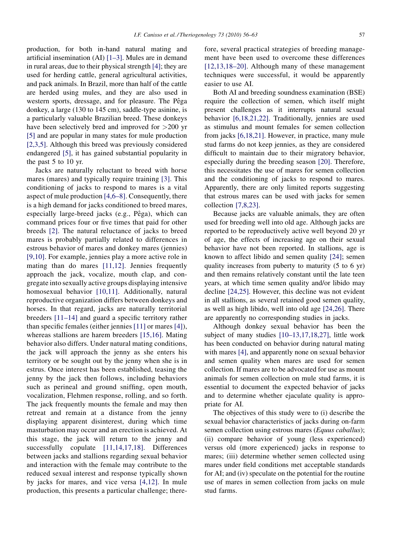production, for both in-hand natural mating and artificial insemination (AI) [\[1–3\].](#page-6-0) Mules are in demand in rural areas, due to their physical strength [\[4\];](#page-6-0) they are used for herding cattle, general agricultural activities, and pack animals. In Brazil, more than half of the cattle are herded using mules, and they are also used in western sports, dressage, and for pleasure. The Pêga donkey, a large (130 to 145 cm), saddle-type asinine, is a particularly valuable Brazilian breed. These donkeys have been selectively bred and improved for >200 yr [\[5\]](#page-6-0) and are popular in many states for mule production [\[2,3,5\]](#page-6-0). Although this breed was previously considered endangered [\[5\]](#page-6-0), it has gained substantial popularity in the past 5 to 10 yr.

Jacks are naturally reluctant to breed with horse mares (mares) and typically require training [\[3\]](#page-6-0). This conditioning of jacks to respond to mares is a vital aspect of mule production [\[4,6–8\]](#page-6-0). Consequently, there is a high demand for jacks conditioned to breed mares, especially large-breed jacks (e.g., Pêga), which can command prices four or five times that paid for other breeds [\[2\].](#page-6-0) The natural reluctance of jacks to breed mares is probably partially related to differences in estrous behavior of mares and donkey mares (jennies) [\[9,10\].](#page-6-0) For example, jennies play a more active role in mating than do mares [\[11,12\]](#page-6-0). Jennies frequently approach the jack, vocalize, mouth clap, and congregate into sexually active groups displaying intensive homosexual behavior [\[10,11\]](#page-6-0). Additionally, natural reproductive organization differs between donkeys and horses. In that regard, jacks are naturally territorial breeders [\[11–14\]](#page-6-0) and guard a specific territory rather than specific females (either jennies [\[11\]](#page-6-0) or mares [\[4\]](#page-6-0)), whereas stallions are harem breeders [\[15,16\].](#page-6-0) Mating behavior also differs. Under natural mating conditions, the jack will approach the jenny as she enters his territory or be sought out by the jenny when she is in estrus. Once interest has been established, teasing the jenny by the jack then follows, including behaviors such as perineal and ground sniffing, open mouth, vocalization, Flehmen response, rolling, and so forth. The jack frequently mounts the female and may then retreat and remain at a distance from the jenny displaying apparent disinterest, during which time masturbation may occur and an erection is achieved. At this stage, the jack will return to the jenny and successfully copulate [\[11,14,17,18\].](#page-6-0) Differences between jacks and stallions regarding sexual behavior and interaction with the female may contribute to the reduced sexual interest and response typically shown by jacks for mares, and vice versa [\[4,12\]](#page-6-0). In mule production, this presents a particular challenge; therefore, several practical strategies of breeding management have been used to overcome these differences [\[12,13,18–20\].](#page-6-0) Although many of these management techniques were successful, it would be apparently easier to use AI.

Both AI and breeding soundness examination (BSE) require the collection of semen, which itself might present challenges as it interrupts natural sexual behavior [\[6,18,21,22\]](#page-6-0). Traditionally, jennies are used as stimulus and mount females for semen collection from jacks [\[6,18,21\]](#page-6-0). However, in practice, many mule stud farms do not keep jennies, as they are considered difficult to maintain due to their migratory behavior, especially during the breeding season [\[20\]](#page-6-0). Therefore, this necessitates the use of mares for semen collection and the conditioning of jacks to respond to mares. Apparently, there are only limited reports suggesting that estrous mares can be used with jacks for semen collection [\[7,8,23\]](#page-6-0).

Because jacks are valuable animals, they are often used for breeding well into old age. Although jacks are reported to be reproductively active well beyond 20 yr of age, the effects of increasing age on their sexual behavior have not been reported. In stallions, age is known to affect libido and semen quality [\[24\]](#page-6-0); semen quality increases from puberty to maturity (5 to 6 yr) and then remains relatively constant until the late teen years, at which time semen quality and/or libido may decline [\[24,25\]](#page-6-0). However, this decline was not evident in all stallions, as several retained good semen quality, as well as high libido, well into old age [\[24,26\]](#page-6-0). There are apparently no corresponding studies in jacks.

Although donkey sexual behavior has been the subject of many studies [\[10–13,17,18,27\],](#page-6-0) little work has been conducted on behavior during natural mating with mares [\[4\],](#page-6-0) and apparently none on sexual behavior and semen quality when mares are used for semen collection. If mares are to be advocated for use as mount animals for semen collection on mule stud farms, it is essential to document the expected behavior of jacks and to determine whether ejaculate quality is appropriate for AI.

The objectives of this study were to (i) describe the sexual behavior characteristics of jacks during on-farm semen collection using estrous mares (Equus caballus); (ii) compare behavior of young (less experienced) versus old (more experienced) jacks in response to mares; (iii) determine whether semen collected using mares under field conditions met acceptable standards for AI; and (iv) speculate on the potential for the routine use of mares in semen collection from jacks on mule stud farms.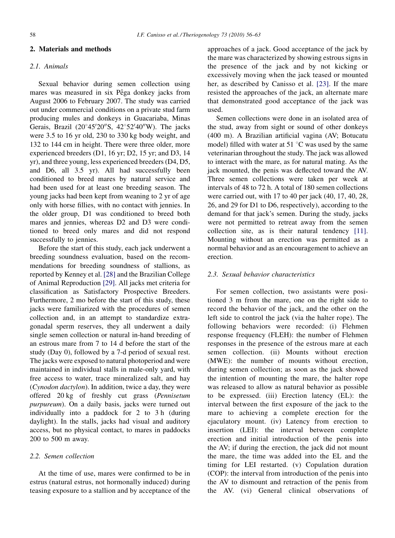## 2. Materials and methods

## 2.1. Animals

Sexual behavior during semen collection using mares was measured in six Pêga donkey jacks from August 2006 to February 2007. The study was carried out under commercial conditions on a private stud farm producing mules and donkeys in Guacariaba, Minas Gerais, Brazil (20°45'20"S, 42°52'40"W). The jacks were 3.5 to 16 yr old, 230 to 330 kg body weight, and 132 to 144 cm in height. There were three older, more experienced breeders (D1, 16 yr; D2, 15 yr; and D3, 14 yr), and three young, less experienced breeders (D4, D5, and D6, all 3.5 yr). All had successfully been conditioned to breed mares by natural service and had been used for at least one breeding season. The young jacks had been kept from weaning to 2 yr of age only with horse fillies, with no contact with jennies. In the older group, D1 was conditioned to breed both mares and jennies, whereas D2 and D3 were conditioned to breed only mares and did not respond successfully to jennies.

Before the start of this study, each jack underwent a breeding soundness evaluation, based on the recommendations for breeding soundness of stallions, as reported by Kenney et al. [\[28\]](#page-6-0) and the Brazilian College of Animal Reproduction [\[29\]](#page-6-0). All jacks met criteria for classification as Satisfactory Prospective Breeders. Furthermore, 2 mo before the start of this study, these jacks were familiarized with the procedures of semen collection and, in an attempt to standardize extragonadal sperm reserves, they all underwent a daily single semen collection or natural in-hand breeding of an estrous mare from 7 to 14 d before the start of the study (Day 0), followed by a 7-d period of sexual rest. The jacks were exposed to natural photoperiod and were maintained in individual stalls in male-only yard, with free access to water, trace mineralized salt, and hay (Cynodon dactylon). In addition, twice a day, they were offered 20 kg of freshly cut grass (Pennisetum purpureum). On a daily basis, jacks were turned out individually into a paddock for 2 to 3 h (during daylight). In the stalls, jacks had visual and auditory access, but no physical contact, to mares in paddocks 200 to 500 m away.

# 2.2. Semen collection

At the time of use, mares were confirmed to be in estrus (natural estrus, not hormonally induced) during teasing exposure to a stallion and by acceptance of the

approaches of a jack. Good acceptance of the jack by the mare was characterized by showing estrous signs in the presence of the jack and by not kicking or excessively moving when the jack teased or mounted her, as described by Canisso et al. [\[23\]](#page-6-0). If the mare resisted the approaches of the jack, an alternate mare that demonstrated good acceptance of the jack was used.

Semen collections were done in an isolated area of the stud, away from sight or sound of other donkeys (400 m). A Brazilian artificial vagina (AV; Botucatu model) filled with water at 51  $\mathrm{^{\circ}C}$  was used by the same veterinarian throughout the study. The jack was allowed to interact with the mare, as for natural mating. As the jack mounted, the penis was deflected toward the AV. Three semen collections were taken per week at intervals of 48 to 72 h. A total of 180 semen collections were carried out, with 17 to 40 per jack (40, 17, 40, 28, 26, and 29 for D1 to D6, respectively), according to the demand for that jack's semen. During the study, jacks were not permitted to retreat away from the semen collection site, as is their natural tendency [\[11\].](#page-6-0) Mounting without an erection was permitted as a normal behavior and as an encouragement to achieve an erection.

## 2.3. Sexual behavior characteristics

For semen collection, two assistants were positioned 3 m from the mare, one on the right side to record the behavior of the jack, and the other on the left side to control the jack (via the halter rope). The following behaviors were recorded: (i) Flehmen response frequency (FLEH): the number of Flehmen responses in the presence of the estrous mare at each semen collection. (ii) Mounts without erection (MWE): the number of mounts without erection, during semen collection; as soon as the jack showed the intention of mounting the mare, the halter rope was released to allow as natural behavior as possible to be expressed. (iii) Erection latency (EL): the interval between the first exposure of the jack to the mare to achieving a complete erection for the ejaculatory mount. (iv) Latency from erection to insertion (LEI): the interval between complete erection and initial introduction of the penis into the AV; if during the erection, the jack did not mount the mare, the time was added into the EL and the timing for LEI restarted. (v) Copulation duration (COP): the interval from introduction of the penis into the AV to dismount and retraction of the penis from the AV. (vi) General clinical observations of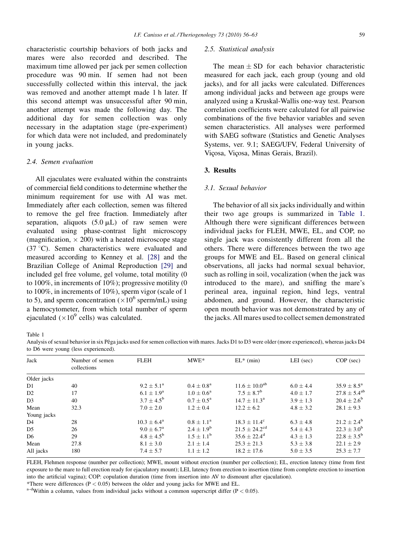characteristic courtship behaviors of both jacks and mares were also recorded and described. The maximum time allowed per jack per semen collection procedure was 90 min. If semen had not been successfully collected within this interval, the jack was removed and another attempt made 1 h later. If this second attempt was unsuccessful after 90 min, another attempt was made the following day. The additional day for semen collection was only necessary in the adaptation stage (pre-experiment) for which data were not included, and predominately in young jacks.

## 2.4. Semen evaluation

All ejaculates were evaluated within the constraints of commercial field conditions to determine whether the minimum requirement for use with AI was met. Immediately after each collection, semen was filtered to remove the gel free fraction. Immediately after separation, aliquots  $(5.0 \mu L)$  of raw semen were evaluated using phase-contrast light microscopy (magnification,  $\times$  200) with a heated microscope stage (37 8C). Semen characteristics were evaluated and measured according to Kenney et al. [\[28\]](#page-6-0) and the Brazilian College of Animal Reproduction [\[29\]](#page-6-0) and included gel free volume, gel volume, total motility (0 to 100%, in increments of 10%); progressive motility (0 to 100%, in increments of 10%), sperm vigor (scale of 1 to 5), and sperm concentration ( $\times 10^6$  sperm/mL) using a hemocytometer, from which total number of sperm ejaculated ( $\times 10^9$  cells) was calculated.

## 2.5. Statistical analysis

The mean  $\pm$  SD for each behavior characteristic measured for each jack, each group (young and old jacks), and for all jacks were calculated. Differences among individual jacks and between age groups were analyzed using a Kruskal-Wallis one-way test. Pearson correlation coefficients were calculated for all pairwise combinations of the five behavior variables and seven semen characteristics. All analyses were performed with SAEG software (Statistics and Genetic Analyses Systems, ver. 9.1; SAEG/UFV, Federal University of Viçosa, Viçosa, Minas Gerais, Brazil).

## 3. Results

# 3.1. Sexual behavior

The behavior of all six jacks individually and within their two age groups is summarized in Table 1. Although there were significant differences between individual jacks for FLEH, MWE, EL, and COP, no single jack was consistently different from all the others. There were differences between the two age groups for MWE and EL. Based on general clinical observations, all jacks had normal sexual behavior, such as rolling in soil, vocalization (when the jack was introduced to the mare), and sniffing the mare's perineal area, inguinal region, hind legs, ventral abdomen, and ground. However, the characteristic open mouth behavior was not demonstrated by any of the jacks. All mares used to collect semen demonstrated

Table 1

Analysis of sexual behavior in six Pêga jacks used for semen collection with mares. Jacks D1 to D3 were older (more experienced), whereas jacks D4 to D6 were young (less experienced).

| Jack           | Number of semen<br>collections | <b>FLEH</b>            | $MWE*$                | $EL^*$ (min)                  | $LEI$ (sec)   | $COP$ (sec)            |  |
|----------------|--------------------------------|------------------------|-----------------------|-------------------------------|---------------|------------------------|--|
| Older jacks    |                                |                        |                       |                               |               |                        |  |
| D1             | 40                             | $9.2 \pm 5.1^{\circ}$  | $0.4 + 0.8^a$         | $11.6 \pm 10.0^{ab}$          | $6.0 \pm 4.4$ | $35.9 \pm 8.5^{\circ}$ |  |
| D <sub>2</sub> | 17                             | $6.1 \pm 1.9^{\rm a}$  | $1.0 \pm 0.6^{\rm a}$ | $7.5 \pm 8.7^{\rm b}$         | $4.0 \pm 1.7$ | $27.8 \pm 5.4^{ab}$    |  |
| D <sub>3</sub> | 40                             | $3.7 \pm 4.5^{\rm b}$  | $0.7 + 0.5^{\rm a}$   | $14.7 + 11.3^{\rm a}$         | $3.9 + 1.3$   | $20.4 \pm 2.6^{\rm b}$ |  |
| Mean           | 32.3                           | $7.0 \pm 2.0$          | $1.2 \pm 0.4$         | $12.2 + 6.2$                  | $4.8 \pm 3.2$ | $28.1 \pm 9.3$         |  |
| Young jacks    |                                |                        |                       |                               |               |                        |  |
| D <sub>4</sub> | 28                             | $10.3 \pm 6.4^{\rm a}$ | $0.8 + 1.1^{\rm a}$   | $18.3 \pm 11.4^{\circ}$       | $6.3 \pm 4.8$ | $21.2 \pm 2.4^{\rm b}$ |  |
| D5             | 26                             | $9.0 \pm 6.7^{\rm a}$  | $2.4 \pm 1.9^b$       | $21.5 \pm 24.2$ <sup>cd</sup> | $5.4 \pm 4.3$ | $22.3 \pm 3.0^{\rm b}$ |  |
| D <sub>6</sub> | 29                             | $4.8 \pm 4.5^{b}$      | $1.5 \pm 1.1^{\rm b}$ | $35.6 \pm 22.4^{\rm d}$       | $4.3 \pm 1.3$ | $22.8 \pm 3.5^{\rm b}$ |  |
| Mean           | 27.8                           | $8.1 \pm 3.0$          | $2.1 \pm 1.4$         | $25.3 \pm 21.3$               | $5.3 \pm 3.8$ | $22.1 \pm 2.9$         |  |
| All jacks      | 180                            | $7.4 \pm 5.7$          | $1.1 \pm 1.2$         | $18.2 \pm 17.6$               | $5.0 \pm 3.5$ | $25.3 \pm 7.7$         |  |

FLEH, Flehmen response (number per collection); MWE, mount without erection (number per collection); EL, erection latency (time from first exposure to the mare to full erection ready for ejaculatory mount); LEI, latency from erection to insertion (time from complete erection to insertion into the artificial vagina); COP: copulation duration (time from insertion into AV to dismount after ejaculation).

\*There were differences (P < 0.05) between the older and young jacks for MWE and EL.  $a-d$ Within a column, values from individual jacks without a common superscript differ (P < 0.05).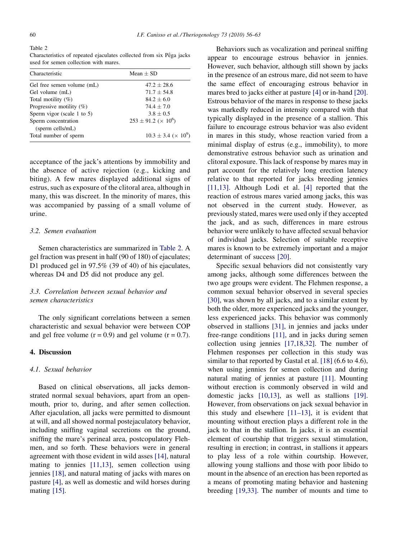Table 2

Characteristics of repeated ejaculates collected from six Pêga jacks used for semen collection with mares

| Characteristic                          | Mean $\pm$ SD                      |  |
|-----------------------------------------|------------------------------------|--|
| Gel free semen volume (mL)              | $47.2 + 28.6$                      |  |
| Gel volume (mL)                         | $71.7 + 54.8$                      |  |
| Total motility $(\%)$                   | $84.2 + 6.0$                       |  |
| Progressive motility $(\%)$             | $74.4 + 7.0$                       |  |
| Sperm vigor (scale 1 to 5)              | $3.8 \pm 0.5$                      |  |
| Sperm concentration<br>(sperm cells/mL) | $253 \pm 91.2 \; (\times \; 10^6)$ |  |
| Total number of sperm                   | $10.3 \pm 3.4 \; (\times \; 10^9)$ |  |

acceptance of the jack's attentions by immobility and the absence of active rejection (e.g., kicking and biting). A few mares displayed additional signs of estrus, such as exposure of the clitoral area, although in many, this was discreet. In the minority of mares, this was accompanied by passing of a small volume of urine.

## 3.2. Semen evaluation

Semen characteristics are summarized in Table 2. A gel fraction was present in half (90 of 180) of ejaculates; D1 produced gel in 97.5% (39 of 40) of his ejaculates, whereas D4 and D5 did not produce any gel.

# 3.3. Correlation between sexual behavior and semen characteristics

The only significant correlations between a semen characteristic and sexual behavior were between COP and gel free volume  $(r = 0.9)$  and gel volume  $(r = 0.7)$ .

#### 4. Discussion

#### 4.1. Sexual behavior

Based on clinical observations, all jacks demonstrated normal sexual behaviors, apart from an openmouth, prior to, during, and after semen collection. After ejaculation, all jacks were permitted to dismount at will, and all showed normal postejaculatory behavior, including sniffing vaginal secretions on the ground, sniffing the mare's perineal area, postcopulatory Flehmen, and so forth. These behaviors were in general agreement with those evident in wild asses [\[14\],](#page-6-0) natural mating to jennies [\[11,13\],](#page-6-0) semen collection using jennies [\[18\],](#page-6-0) and natural mating of jacks with mares on pasture [\[4\]](#page-6-0), as well as domestic and wild horses during mating [\[15\].](#page-6-0)

Behaviors such as vocalization and perineal sniffing appear to encourage estrous behavior in jennies. However, such behavior, although still shown by jacks in the presence of an estrous mare, did not seem to have the same effect of encouraging estrous behavior in mares bred to jacks either at pasture [\[4\]](#page-6-0) or in-hand [\[20\].](#page-6-0) Estrous behavior of the mares in response to these jacks was markedly reduced in intensity compared with that typically displayed in the presence of a stallion. This failure to encourage estrous behavior was also evident in mares in this study, whose reaction varied from a minimal display of estrus (e.g., immobility), to more demonstrative estrous behavior such as urination and clitoral exposure. This lack of response by mares may in part account for the relatively long erection latency relative to that reported for jacks breeding jennies [\[11,13\]](#page-6-0). Although Lodi et al. [\[4\]](#page-6-0) reported that the reaction of estrous mares varied among jacks, this was not observed in the current study. However, as previously stated, mares were used only if they accepted the jack, and as such, differences in mare estrous behavior were unlikely to have affected sexual behavior of individual jacks. Selection of suitable receptive mares is known to be extremely important and a major determinant of success [\[20\]](#page-6-0).

Specific sexual behaviors did not consistently vary among jacks, although some differences between the two age groups were evident. The Flehmen response, a common sexual behavior observed in several species [\[30\],](#page-6-0) was shown by all jacks, and to a similar extent by both the older, more experienced jacks and the younger, less experienced jacks. This behavior was commonly observed in stallions [\[31\],](#page-6-0) in jennies and jacks under free-range conditions [\[11\],](#page-6-0) and in jacks during semen collection using jennies [\[17,18,32\].](#page-6-0) The number of Flehmen responses per collection in this study was similar to that reported by Gastal et al. [\[18\]](#page-6-0) (6.6 to 4.6), when using jennies for semen collection and during natural mating of jennies at pasture [\[11\].](#page-6-0) Mounting without erection is commonly observed in wild and domestic jacks [\[10,13\]](#page-6-0), as well as stallions [\[19\].](#page-6-0) However, from observations on jack sexual behavior in this study and elsewhere [\[11–13\]](#page-6-0), it is evident that mounting without erection plays a different role in the jack to that in the stallion. In jacks, it is an essential element of courtship that triggers sexual stimulation, resulting in erection; in contrast, in stallions it appears to play less of a role within courtship. However, allowing young stallions and those with poor libido to mount in the absence of an erection has been reported as a means of promoting mating behavior and hastening breeding [\[19,33\]](#page-6-0). The number of mounts and time to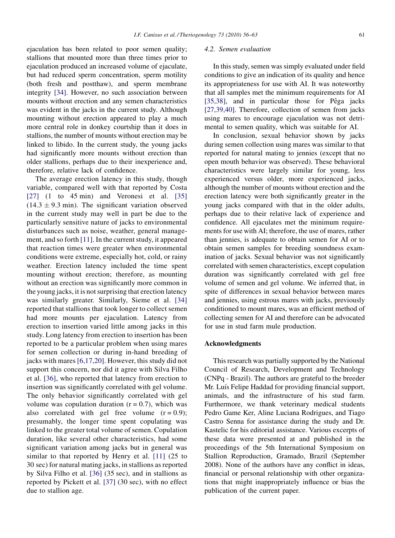ejaculation has been related to poor semen quality; stallions that mounted more than three times prior to ejaculation produced an increased volume of ejaculate, but had reduced sperm concentration, sperm motility (both fresh and postthaw), and sperm membrane integrity [\[34\]](#page-6-0). However, no such association between mounts without erection and any semen characteristics was evident in the jacks in the current study. Although mounting without erection appeared to play a much more central role in donkey courtship than it does in stallions, the number of mounts without erection may be linked to libido. In the current study, the young jacks had significantly more mounts without erection than older stallions, perhaps due to their inexperience and, therefore, relative lack of confidence.

The average erection latency in this study, though variable, compared well with that reported by Costa  $[27]$  (1 to 45 min) and Veronesi et al.  $[35]$  $(14.3 \pm 9.3 \text{ min})$ . The significant variation observed in the current study may well in part be due to the particularly sensitive nature of jacks to environmental disturbances such as noise, weather, general management, and so forth [\[11\].](#page-6-0) In the current study, it appeared that reaction times were greater when environmental conditions were extreme, especially hot, cold, or rainy weather. Erection latency included the time spent mounting without erection; therefore, as mounting without an erection was significantly more common in the young jacks, it is not surprising that erection latency was similarly greater. Similarly, Sieme et al. [\[34\]](#page-6-0) reported that stallions that took longer to collect semen had more mounts per ejaculation. Latency from erection to insertion varied little among jacks in this study. Long latency from erection to insertion has been reported to be a particular problem when using mares for semen collection or during in-hand breeding of jacks with mares [\[6,17,20\].](#page-6-0) However, this study did not support this concern, nor did it agree with Silva Filho et al. [\[36\]](#page-6-0), who reported that latency from erection to insertion was significantly correlated with gel volume. The only behavior significantly correlated with gel volume was copulation duration  $(r = 0.7)$ , which was also correlated with gel free volume  $(r = 0.9)$ ; presumably, the longer time spent copulating was linked to the greater total volume of semen. Copulation duration, like several other characteristics, had some significant variation among jacks but in general was similar to that reported by Henry et al. [\[11\]](#page-6-0) (25 to 30 sec) for natural mating jacks, in stallions as reported by Silva Filho et al. [\[36\]](#page-6-0) (35 sec), and in stallions as reported by Pickett et al. [\[37\]](#page-7-0) (30 sec), with no effect due to stallion age.

## 4.2. Semen evaluation

In this study, semen was simply evaluated under field conditions to give an indication of its quality and hence its appropriateness for use with AI. It was noteworthy that all samples met the minimum requirements for AI [\[35,38\]](#page-6-0), and in particular those for Pêga jacks [\[27,39,40\].](#page-6-0) Therefore, collection of semen from jacks using mares to encourage ejaculation was not detrimental to semen quality, which was suitable for AI.

In conclusion, sexual behavior shown by jacks during semen collection using mares was similar to that reported for natural mating to jennies (except that no open mouth behavior was observed). These behavioral characteristics were largely similar for young, less experienced versus older, more experienced jacks, although the number of mounts without erection and the erection latency were both significantly greater in the young jacks compared with that in the older adults, perhaps due to their relative lack of experience and confidence. All ejaculates met the minimum requirements for use with AI; therefore, the use of mares, rather than jennies, is adequate to obtain semen for AI or to obtain semen samples for breeding soundness examination of jacks. Sexual behavior was not significantly correlated with semen characteristics, except copulation duration was significantly correlated with gel free volume of semen and gel volume. We inferred that, in spite of differences in sexual behavior between mares and jennies, using estrous mares with jacks, previously conditioned to mount mares, was an efficient method of collecting semen for AI and therefore can be advocated for use in stud farm mule production.

#### Acknowledgments

This research was partially supported by the National Council of Research, Development and Technology (CNPq - Brazil). The authors are grateful to the breeder Mr. Luís Felipe Haddad for providing financial support, animals, and the infrastructure of his stud farm. Furthermore, we thank veterinary medical students Pedro Game Ker, Aline Luciana Rodrigues, and Tiago Castro Senna for assistance during the study and Dr. Kastelic for his editorial assistance. Various excerpts of these data were presented at and published in the proceedings of the 5th International Symposium on Stallion Reproduction, Gramado, Brazil (September 2008). None of the authors have any conflict in ideas, financial or personal relationship with other organizations that might inappropriately influence or bias the publication of the current paper.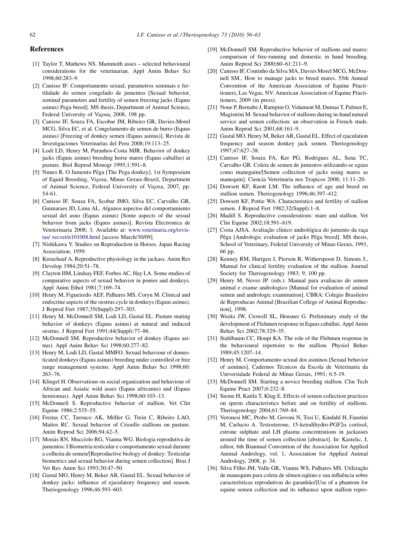## <span id="page-6-0"></span>References

- [1] Taylor T, Mathews NS. Mammoth asses selected behavioural considerations for the veterinarian. Appl Anim Behav Sci 1998;60:283–9.
- [2] Canisso IF. Comportamento sexual, parametros seminais e fertilidade do semen congelado de jumentos [Sexual behavior, seminal parameters and fertility of semen freezing jacks (Equus asinus) Pega breed]. MS thesis, Department of Animal Science, Federal University of Vicosa, 2008, 198 pp.
- [3] Canisso IF, Souza FA, Escobar JM, Ribeiro GR, Davies-Morel MCG, Silva EC, et al. Congelamento de semen de burro (Equus asinus) [Freezing of donkey semen (Equus asinus)]. Revista de Investigaciones Veterinarias del Peru 2008;19:113–25.
- [4] Lodi LD, Henry M, Paranhos-Costa MJR. Behavior of donkey jacks (Equus asinus) breeding horse mares (Equus caballus) at pasture. Biol Reprod Monogr 1995;1:591–8.
- [5] Nunes R. O Jumento Pêga [The Pega donkey]. 1st Symposium of Equid Breeding, Viçosa, Minas Gerais-Brazil, Department of Animal Science, Federal University of Viçosa, 2007, pp. 54-61.
- [6] Canisso IF, Souza FA, Scobar JMO, Silva EC, Carvalho GR, Guimaraes JD, Lima AL. Algunos aspectos del comportamiento sexual del asno (Equus asinus) [Some aspects of the sexual behavior from jacks (Equus asinus)]. Revista Electronica de Veteterinaria 2008; 3. Available at: [www.veterinaria.org/revis](http://www.veterinaria.org/revistas/recvet/n101008.html)[tas/ recvet/n101008.html](http://www.veterinaria.org/revistas/recvet/n101008.html) [access March/30/09].
- [7] Nishikawa Y. Studies on Reproduction in Horses. Japan Racing Association; 1959.
- [8] Kreuchauf A. Reproductive physiology in the jackass. Anim Res Develop 1984;20:51–78.
- [9] Clayton HM, Lindsay FEF, Forbes AC, Hay LA. Some studies of comparative aspects of sexual behavior in ponies and donkeys. Appl Anim Ethol 1981;7:169–74.
- [10] Henry M, Figueiredo AEF, Palhares MS, Coryn M. Clinical and endocrine aspects of the oestrus cycle in donkeys (Equus asinus). J Reprod Fert 1987;35(Suppl):297–303.
- [11] Henry M, McDonnell SM, Lodi LD, Gastal EL. Pasture mating behavior of donkeys (Equus asinus) at natural and induced oestrus. J Reprod Fert 1991;44(Suppl):77–86.
- [12] McDonnell SM. Reproductive behavior of donkey (Equus asinus). Appl Anim Behav Sci 1998;60:277–82.
- [13] Henry M, Lodi LD, Gastal MMFO. Sexual behaviour of domesticated donkeys (Equus asinus) breeding under controlled or free range management systems. Appl Anim Behav Sci 1998;60: 263–76.
- [14] Klingel H. Observations on social organization and behaviour of African and Asiatic wild asses (Equus africanus) and (Equus hemiomus). Appl Anim Behav Sci 1998;60:103-13.
- [15] McDonnell S. Reproductive behavior of stallion. Vet Clin Equine 1986;2:535–55.
- [16] Freitas CC, Tarouco AK, Möller G, Trein C, Ribeiro LAO, Mattos RC. Sexual behavior of Crioullo stallions on pasture. Anim Reprod Sci 2006;94:42–5.
- [17] Morais RN, Mucciolo RG, Vianna WG. Biologia reprodutiva de jumentos: I Biometria testicular e comportamento sexual durante a colheita de semen/[Reproductive biology of donkey: Testicular biometrics and sexual behavior during semen collection]. Braz J Vet Res Anim Sci 1993;30:47–50.
- [18] Gastal MO, Henry M, Beker AR, Gastal EL. Sexual behavior of donkey jacks: influence of ejaculatory frequency and season. Theriogenology 1996;46:593–603.
- [19] McDonnell SM. Reproductive behavior of stallions and mares: comparison of free-running and domestic in hand breeding. Anim Reprod Sci 2000;60–61:211–9.
- [20] Canisso IF, Coutinho da Silva MA, Davies Morel MCG, McDonnell SM., How to manage jacks to breed mares. 55th Annual Convention of the American Association of Equine Practitioners, Las Vegas, NV. American Association of Equine Practitioners, 2009 (in press).
- [21] Noue P, Bernabe J, Rampim O, Vidament M, Dumas T, Palmer E, Magistrini M. Sexual behavior of stallions during in-hand natural service and semen collection: an observation in French studs. Anim Reprod Sci 2001;68:161–9.
- [22] Gastal MO, Henry M, Beker AR, Gastal EL. Effect of ejaculation frequency and season donkey jack semen. Theriogenology 1997;47:627–38.
- [23] Canisso IF, Souza FA, Ker PG, Rodrigues AL, Sena TC, Carvalho GR. Coleta de semen de jumentos utilizando-se eguas como maneguim/[Semen collection of jacks using mares as manequin]. Ciencia Veterinaria nos Tropicos 2008; 11:11–20.
- [24] Dowsett KF, Knott LM. The influence of age and breed on stallion semen. Theriogenology 1996;46:397–412.
- [25] Dowsett KF, Pottie WA. Characteristics and fertility of stallion semen. J Reprod Fert 1982;32(Suppl):1–8.
- [26] Madill S. Reproductive considerations: mare and stallion. Vet Clin Equine 2002;18:591–619.
- [27] Costa AJSA. Avaliação clínico andrológica do jumento da raça Pêga [Andrologic evaluation of jacks Pêga breed]. MS thesis, School of Veterinary, Federal University of Minas Gerais, 1991, 66 pp.
- [28] Kenney RM, Hurtgen J, Pierson R, Witherspoon D, Simons J., Manual for clinical fertility evaluation of the stallion. Journal Society for Theriogenology 1983; 9, 100 pp.
- [29] Henry M, Neves JP. (eds.). Manual para avaliacao do semen animal e exame andrologico [Manual for evaluation of animal semen and andrologic examination]. CBRA: Colegio Brasileiro de Reproducao Animal [Brazilian College of Animal Reproduction], 1998.
- [30] Weeks JW, Crowell SL, Heusner G. Preliminary study of the development of Flehmen response in Equus caballus. Appl Anim Behav Sci 2002;78:329–35.
- [31] Stahlbaum CC, Houpt KA. The role of the Flehmen response in the behavioural repertoire to the stallion. Physiol Behav 1989;45:1207–14.
- [32] Henry M. Comportamento sexual dos asininos [Sexual behavior of asinines]. Cadernos Técnicos da Escola de Veterinaria da Universidade Federal de Minas Gerais, 1991; 6:5-19.
- [33] McDonnell SM. Starting a novice breeding stallion. Clin Tech Equine Pract 2007;6:232–8.
- [34] Sieme H, Katila T, Klug E. Effects of semen collection practices on sperm characteristics before and on fertility of stallions. Theriogenology 2004;61:769–84.
- [35] Veronesi MC, Probo M, Govoni N, Tosi U, Kindahl H, Faustini M, Carlucio A. Testosterone, 15-ketodihydro-PGF2a cortisol, estrone sulphate and LH plasma concentrations in jackasses around the time of semen collection [abstract]. In: Kastelic, J, editor, 6th Biannual Convention of the Association for Applied Animal Andrology, vol. 1, Association for Applied Animal Andrology, 2008, p. 34.
- [36] Silva Filho JM, Valle GR, Vianna WS, Palhares MS. Utilização de manequim para coleta de sêmen equino e sua influência sobre características reprodutivas do garanhão/[Use of a phantom for equine semen collection and its influence upon stallion repro-